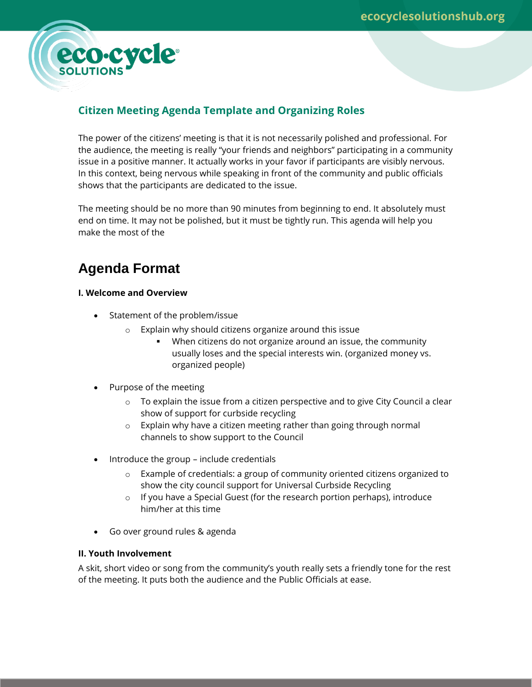

# **Citizen Meeting Agenda Template and Organizing Roles**

The power of the citizens' meeting is that it is not necessarily polished and professional. For the audience, the meeting is really "your friends and neighbors" participating in a community issue in a positive manner. It actually works in your favor if participants are visibly nervous. In this context, being nervous while speaking in front of the community and public officials shows that the participants are dedicated to the issue.

The meeting should be no more than 90 minutes from beginning to end. It absolutely must end on time. It may not be polished, but it must be tightly run. This agenda will help you make the most of the

# **Agenda Format**

# **I. Welcome and Overview**

- Statement of the problem/issue
	- o Explain why should citizens organize around this issue
		- When citizens do not organize around an issue, the community usually loses and the special interests win. (organized money vs. organized people)
- Purpose of the meeting
	- $\circ$  To explain the issue from a citizen perspective and to give City Council a clear show of support for curbside recycling
	- o Explain why have a citizen meeting rather than going through normal channels to show support to the Council
- Introduce the group include credentials
	- $\circ$  Example of credentials: a group of community oriented citizens organized to show the city council support for Universal Curbside Recycling
	- o If you have a Special Guest (for the research portion perhaps), introduce him/her at this time
- Go over ground rules & agenda

#### **II. Youth Involvement**

A skit, short video or song from the community's youth really sets a friendly tone for the rest of the meeting. It puts both the audience and the Public Officials at ease.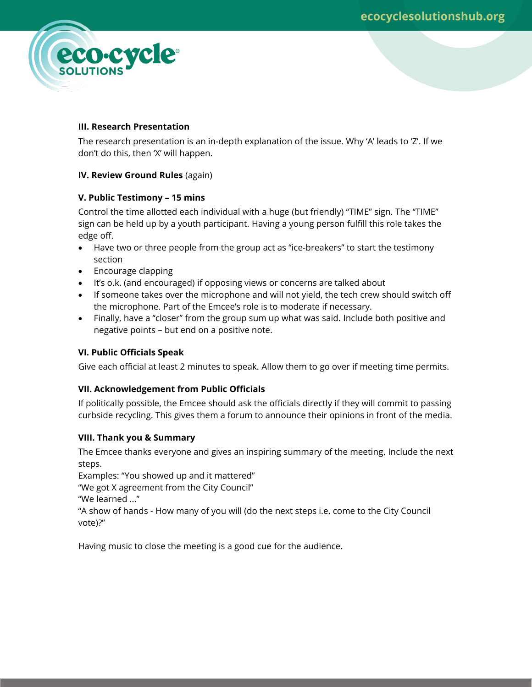

### **III. Research Presentation**

The research presentation is an in-depth explanation of the issue. Why 'A' leads to 'Z'. If we don't do this, then 'X' will happen.

#### **IV. Review Ground Rules** (again)

#### **V. Public Testimony – 15 mins**

Control the time allotted each individual with a huge (but friendly) "TIME" sign. The "TIME" sign can be held up by a youth participant. Having a young person fulfill this role takes the edge off.

- Have two or three people from the group act as "ice-breakers" to start the testimony section
- Encourage clapping
- It's o.k. (and encouraged) if opposing views or concerns are talked about
- If someone takes over the microphone and will not yield, the tech crew should switch off the microphone. Part of the Emcee's role is to moderate if necessary.
- Finally, have a "closer" from the group sum up what was said. Include both positive and negative points – but end on a positive note.

#### **VI. Public Officials Speak**

Give each official at least 2 minutes to speak. Allow them to go over if meeting time permits.

# **VII. Acknowledgement from Public Officials**

If politically possible, the Emcee should ask the officials directly if they will commit to passing curbside recycling. This gives them a forum to announce their opinions in front of the media.

# **VIII. Thank you & Summary**

The Emcee thanks everyone and gives an inspiring summary of the meeting. Include the next steps.

Examples: "You showed up and it mattered"

"We got X agreement from the City Council"

"We learned ..."

"A show of hands - How many of you will (do the next steps i.e. come to the City Council vote)?"

Having music to close the meeting is a good cue for the audience.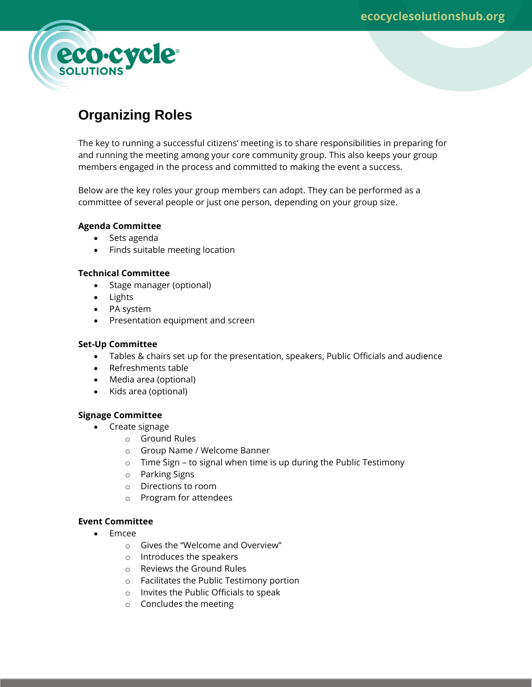

# **Organizing Roles**

The key to running a successful citizens' meeting is to share responsibilities in preparing for and running the meeting among your core community group. This also keeps your group members engaged in the process and committed to making the event a success.

Below are the key roles your group members can adopt. They can be performed as a committee of several people or just one person, depending on your group size.

# **Agenda Committee**

- Sets agenda
- Finds suitable meeting location

#### **Technical Committee**

- Stage manager (optional)
- Lights
- PA system
- Presentation equipment and screen

#### **Set-Up Committee**

- Tables & chairs set up for the presentation, speakers, Public Officials and audience
- Refreshments table
- Media area (optional)
- Kids area (optional)

# **Signage Committee**

- Create signage
	- o Ground Rules
	- o Group Name / Welcome Banner
	- o Time Sign to signal when time is up during the Public Testimony
	- o Parking Signs
	- o Directions to room
	- o Program for attendees

# **Event Committee**

- Emcee
	- o Gives the "Welcome and Overview"
	- o Introduces the speakers
	- o Reviews the Ground Rules
	- o Facilitates the Public Testimony portion
	- o Invites the Public Officials to speak
	- o Concludes the meeting